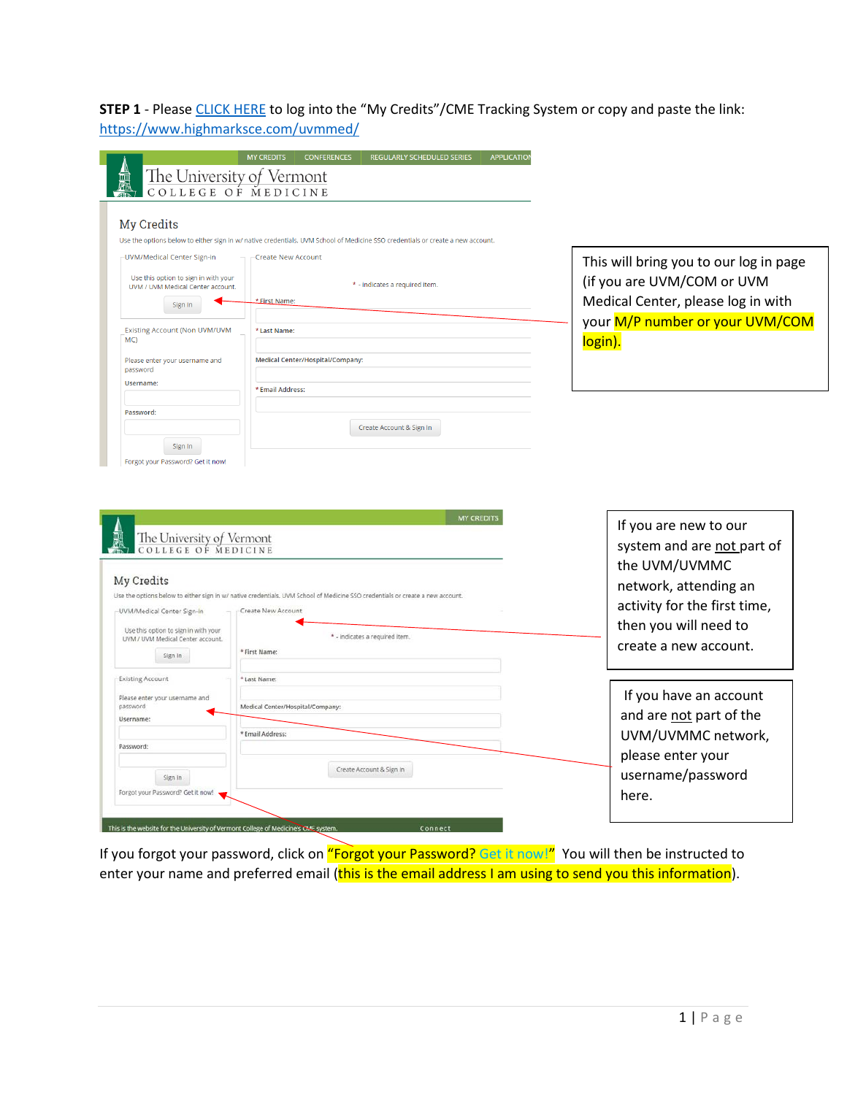**STEP 1** - Pleas[e CLICK HERE](https://www.highmarksce.com/uvmmed/) to log into the "My Credits"/CME Tracking System or copy and paste the link: <https://www.highmarksce.com/uvmmed/>

|                                                                                                                                                                                                                                      | <b>MY CREDITS</b><br><b>CONFERENCES</b><br><b>REGULARLY SCHEDULED SERIES</b><br><b>APPLICATION</b><br>The University of Vermont<br>COLLEGE OF MEDICINE |                                                                  |
|--------------------------------------------------------------------------------------------------------------------------------------------------------------------------------------------------------------------------------------|--------------------------------------------------------------------------------------------------------------------------------------------------------|------------------------------------------------------------------|
| My Credits                                                                                                                                                                                                                           |                                                                                                                                                        |                                                                  |
| -UVM/Medical Center Sign-in                                                                                                                                                                                                          | Use the options below to either sign in w/ native credentials, UVM School of Medicine SSO credentials or create a new account.<br>Create New Account   | This will bring you to our log in page                           |
| Use this option to sign in with your<br>UVM / UVM Medical Center account.<br>Sign In                                                                                                                                                 | * - indicates a required item.<br>*First Name:                                                                                                         | (if you are UVM/COM or UVM<br>Medical Center, please log in with |
| <b>Existing Account (Non UVM/UVM</b><br>MC                                                                                                                                                                                           | *Last Name:                                                                                                                                            | your M/P number or your UVM/COM<br>login).                       |
| Please enter your username and<br>password                                                                                                                                                                                           | Medical Center/Hospital/Company:                                                                                                                       |                                                                  |
| Username:                                                                                                                                                                                                                            | *Email Address:                                                                                                                                        |                                                                  |
| Password:                                                                                                                                                                                                                            | Create Account & Sign In                                                                                                                               |                                                                  |
| Sign In                                                                                                                                                                                                                              |                                                                                                                                                        |                                                                  |
|                                                                                                                                                                                                                                      |                                                                                                                                                        |                                                                  |
| The University of Vermont<br>COLLEGE OF MEDICINE                                                                                                                                                                                     | <b>MY CREDITS</b>                                                                                                                                      | If you are new to our<br>system and are not part of              |
| Forgot your Password? Get it now!                                                                                                                                                                                                    | Use the options below to either sign in w/ native credentials. UVM School of Medicine SSO credentials or create a new account.                         | the UVM/UVMMC<br>network, attending an                           |
|                                                                                                                                                                                                                                      | Create New Account<br>* - indicates a required item.                                                                                                   | activity for the first time,<br>then you will need to            |
| Sign In                                                                                                                                                                                                                              | * First Name:                                                                                                                                          | create a new account.                                            |
|                                                                                                                                                                                                                                      | * Last Name:                                                                                                                                           |                                                                  |
|                                                                                                                                                                                                                                      | Medical Center/Hospital/Company:                                                                                                                       | If you have an account<br>and are not part of the                |
|                                                                                                                                                                                                                                      | * Email Address:                                                                                                                                       | UVM/UVMMC network,                                               |
| My Credits<br>-UVM/Medical Center Sign-In<br>Use this option to sign in with your<br>UVM / UVM Medical Center account.<br><b>Existing Account</b><br>Please enter your username and<br>password<br>Username:<br>Password:<br>Sign in | Create Account & Sign In                                                                                                                               | please enter your<br>username/password                           |

If you forgot your password, click on "Forgot your Password? Get it now!" You will then be instructed to enter your name and preferred email (this is the email address I am using to send you this information).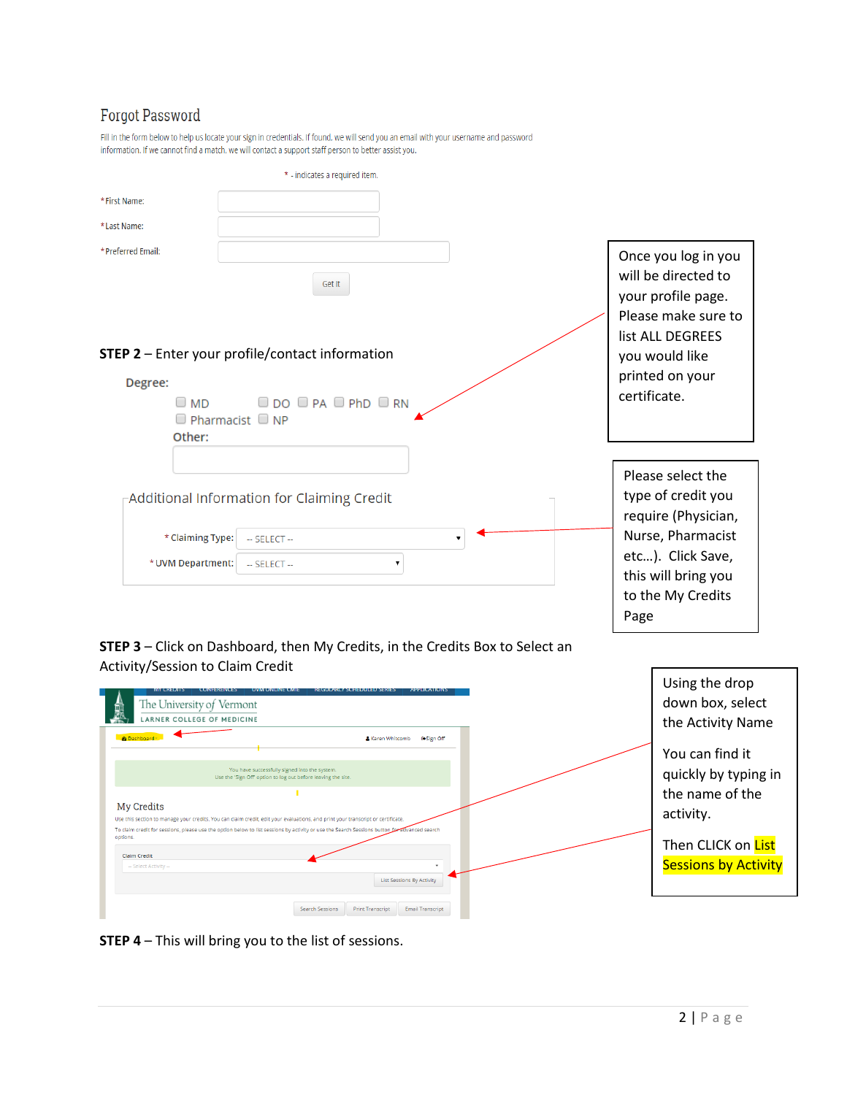## **Forgot Password**

| Fill in the form below to help us locate your sign in credentials. If found, we will send you an email with your username and password |
|----------------------------------------------------------------------------------------------------------------------------------------|
| information. If we cannot find a match, we will contact a support staff person to better assist you.                                   |

|                                       | * - indicates a required item.                                                       |                                                                                            |
|---------------------------------------|--------------------------------------------------------------------------------------|--------------------------------------------------------------------------------------------|
| * First Name:                         |                                                                                      |                                                                                            |
| *Last Name:                           |                                                                                      |                                                                                            |
| * Preferred Email:                    | Get It                                                                               | Once you log in you<br>will be directed to<br>your profile page.<br>Please make sure to    |
| Degree:                               | STEP 2 - Enter your profile/contact information                                      | list ALL DEGREES<br>you would like<br>printed on your                                      |
| Other:                                | $\Box$ DO $\Box$ PA $\Box$ PhD $\Box$ RN<br>$\Box$ MD<br>$\Box$ Pharmacist $\Box$ NP | certificate.                                                                               |
|                                       | -Additional Information for Claiming Credit                                          | Please select the<br>type of credit you<br>require (Physician,                             |
| * Claiming Type:<br>* UVM Department: | $-$ SELECT $-$<br>$-$ SELECT $-$<br>۳.                                               | Nurse, Pharmacist<br>etc). Click Save,<br>this will bring you<br>to the My Credits<br>Page |

**STEP 3** – Click on Dashboard, then My Credits, in the Credits Box to Select an Activity/Session to Claim Credit



**STEP 4** – This will bring you to the list of sessions.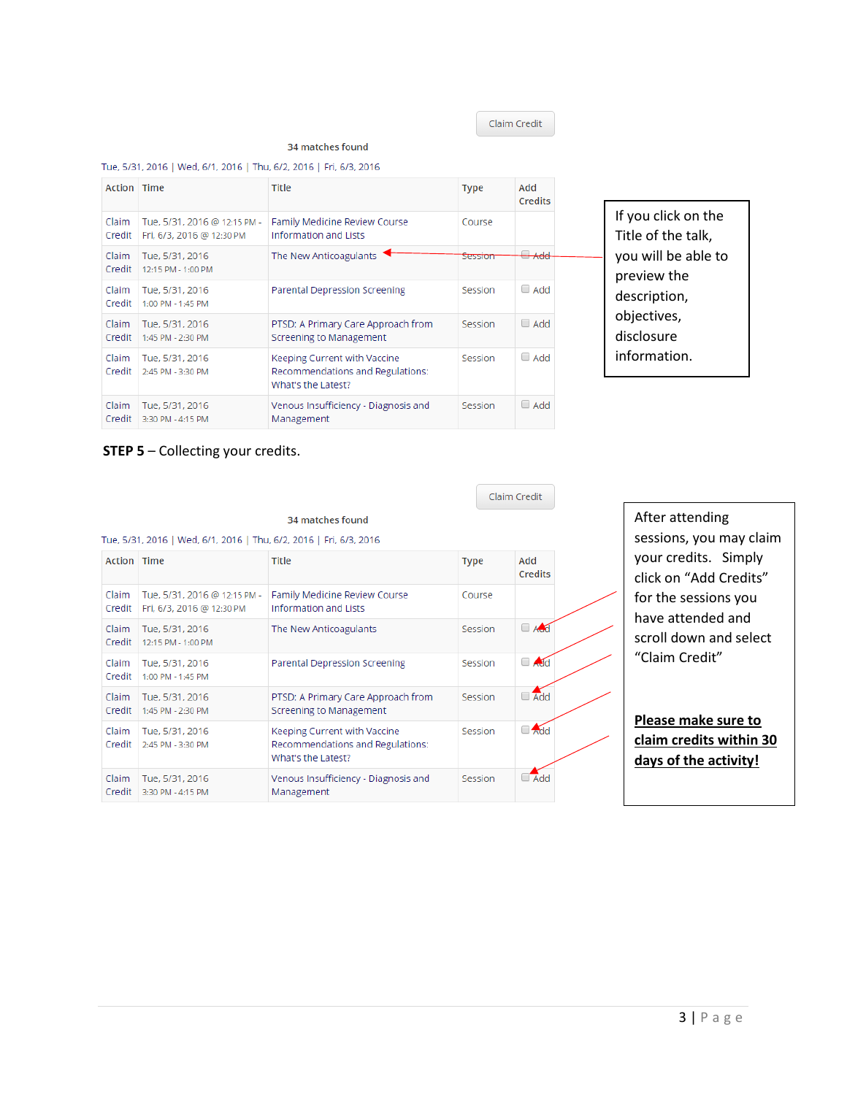Claim Credit

## 34 matches found

## Tue, 5/31, 2016 | Wed, 6/1, 2016 | Thu, 6/2, 2016 | Fri, 6/3, 2016

| <b>Action Time</b> |                                                           | <b>Title</b>                                                                           | <b>Type</b>        | Add<br>Credits |
|--------------------|-----------------------------------------------------------|----------------------------------------------------------------------------------------|--------------------|----------------|
| Claim<br>Credit    | Tue, 5/31, 2016 @ 12:15 PM -<br>Fri, 6/3, 2016 @ 12:30 PM | Family Medicine Review Course<br>Information and Lists                                 | Course             |                |
| Claim<br>Credit    | Tue, 5/31, 2016<br>12:15 PM - 1:00 PM                     | The New Anticoagulants                                                                 | <del>Session</del> | Add            |
| Claim<br>Credit    | Tue, 5/31, 2016<br>1:00 PM - 1:45 PM                      | Parental Depression Screening                                                          | Session            | $\Box$ Add     |
| Claim<br>Credit    | Tue, 5/31, 2016<br>1:45 PM - 2:30 PM                      | PTSD: A Primary Care Approach from<br>Screening to Management                          | Session            | $\Box$ Add     |
| Claim<br>Credit    | Tue, 5/31, 2016<br>2:45 PM - 3:30 PM                      | Keeping Current with Vaccine<br>Recommendations and Regulations:<br>What's the Latest? | Session            | $\Box$ Add     |
| Claim<br>Credit    | Tue, 5/31, 2016<br>3:30 PM - 4:15 PM                      | Venous Insufficiency - Diagnosis and<br>Management                                     | Session            | $\Box$ Add     |

If you click on the Title of the talk, you will be able to preview the description, objectives, disclosure information.

## **STEP 5** – Collecting your credits.

|                 |                                                                    |                                                                                        |             | Claim Credit    |
|-----------------|--------------------------------------------------------------------|----------------------------------------------------------------------------------------|-------------|-----------------|
|                 |                                                                    | 34 matches found                                                                       |             |                 |
|                 | Tue, 5/31, 2016   Wed, 6/1, 2016   Thu, 6/2, 2016   Fri, 6/3, 2016 |                                                                                        |             |                 |
| Action Time     |                                                                    | <b>Title</b>                                                                           | <b>Type</b> | bbA<br>Credits  |
| Claim<br>Credit | Tue, 5/31, 2016 @ 12:15 PM -<br>Fri, 6/3, 2016 @ 12:30 PM          | Family Medicine Review Course<br>Information and Lists                                 | Course      |                 |
| Claim<br>Credit | Tue, 5/31, 2016<br>12:15 PM - 1:00 PM                              | The New Anticoagulants                                                                 | Session     | A <sub>cd</sub> |
| Claim<br>Credit | Tue, 5/31, 2016<br>$1:00$ PM - $1:45$ PM                           | <b>Parental Depression Screening</b>                                                   | Session     | $\Box$ Add      |
| Claim<br>Credit | Tue, 5/31, 2016<br>1:45 PM - 2:30 PM                               | PTSD: A Primary Care Approach from<br>Screening to Management                          | Session     | $\Box$ Add      |
| Claim           | Tue. 5/31, 2016<br>Credit 2:45 PM - 3:30 PM                        | Keeping Current with Vaccine<br>Recommendations and Regulations:<br>What's the Latest? | Session     | $\Box$ Add      |
| Claim<br>Credit | Tue, 5/31, 2016<br>3:30 PM - 4:15 PM                               | Venous Insufficiency - Diagnosis and<br>Management                                     | Session     | $\Box$ Add      |

After attending sessions, you may claim your credits. Simply click on "Add Credits" for the sessions you have attended and scroll down and select "Claim Credit"

**Please make sure to claim credits within 30 days of the activity!**